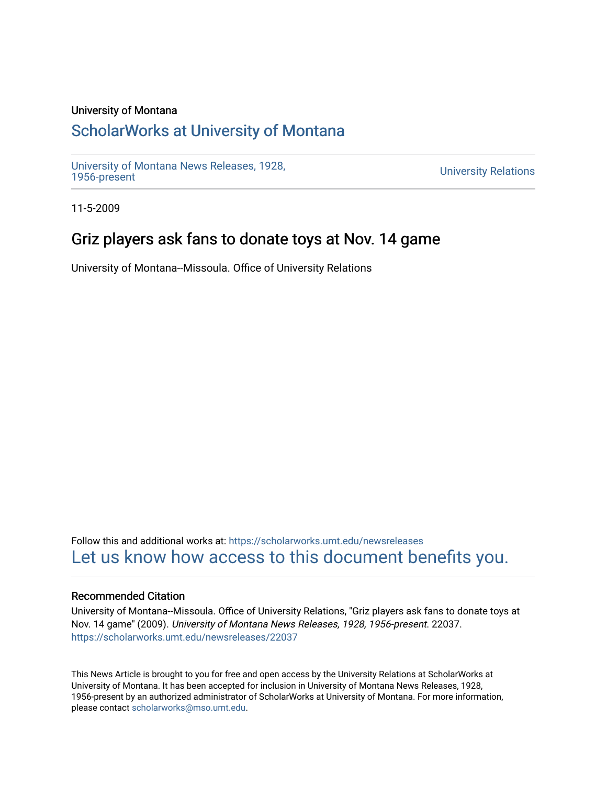### University of Montana

## [ScholarWorks at University of Montana](https://scholarworks.umt.edu/)

[University of Montana News Releases, 1928,](https://scholarworks.umt.edu/newsreleases) 

**University Relations** 

11-5-2009

# Griz players ask fans to donate toys at Nov. 14 game

University of Montana--Missoula. Office of University Relations

Follow this and additional works at: [https://scholarworks.umt.edu/newsreleases](https://scholarworks.umt.edu/newsreleases?utm_source=scholarworks.umt.edu%2Fnewsreleases%2F22037&utm_medium=PDF&utm_campaign=PDFCoverPages) [Let us know how access to this document benefits you.](https://goo.gl/forms/s2rGfXOLzz71qgsB2) 

#### Recommended Citation

University of Montana--Missoula. Office of University Relations, "Griz players ask fans to donate toys at Nov. 14 game" (2009). University of Montana News Releases, 1928, 1956-present. 22037. [https://scholarworks.umt.edu/newsreleases/22037](https://scholarworks.umt.edu/newsreleases/22037?utm_source=scholarworks.umt.edu%2Fnewsreleases%2F22037&utm_medium=PDF&utm_campaign=PDFCoverPages) 

This News Article is brought to you for free and open access by the University Relations at ScholarWorks at University of Montana. It has been accepted for inclusion in University of Montana News Releases, 1928, 1956-present by an authorized administrator of ScholarWorks at University of Montana. For more information, please contact [scholarworks@mso.umt.edu.](mailto:scholarworks@mso.umt.edu)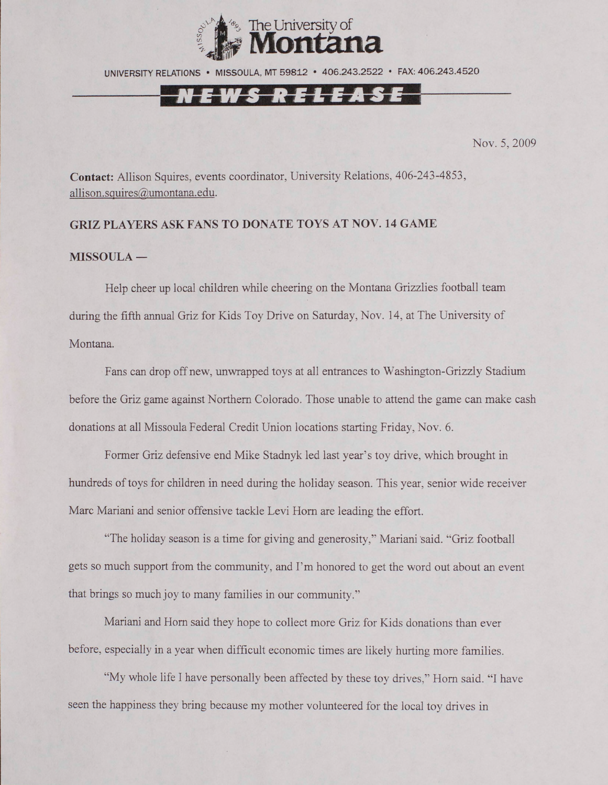

UNIVERSITY RELATIONS • MISSOULA, MT 59812 • 406.243.2522 • FAX: 406.243.4520



Nov. 5, 2009

**Contact:** Allison Squires, events coordinator, University Relations, 406-243-4853, allison.squires@umontana.edu.

### **GRIZ PLAYERS ASK FANS TO DONATE TOYS AT NOV. 14 GAME**

#### **MISSOULA —**

Help cheer up local children while cheering on the Montana Grizzlies football team during the fifth annual Griz for Kids Toy Drive on Saturday, Nov. 14, at The University of Montana.

Fans can drop off new, unwrapped toys at all entrances to Washington-Grizzly Stadium before the Griz game against Northern Colorado. Those unable to attend the game can make cash donations at all Missoula Federal Credit Union locations starting Friday, Nov. 6.

Former Griz defensive end Mike Stadnyk led last year's toy drive, which brought in hundreds of toys for children in need during the holiday season. This year, senior wide receiver Marc Mariani and senior offensive tackle Levi Horn are leading the effort.

"The holiday season is a time for giving and generosity," Mariani said. "Griz football gets so much support from the community, and I'm honored to get the word out about an event that brings so much joy to many families in our community."

Mariani and Horn said they hope to collect more Griz for Kids donations than ever before, especially in a year when difficult economic times are likely hurting more families.

"My whole life I have personally been affected by these toy drives," Horn said. "I have seen the happiness they bring because my mother volunteered for the local toy drives in